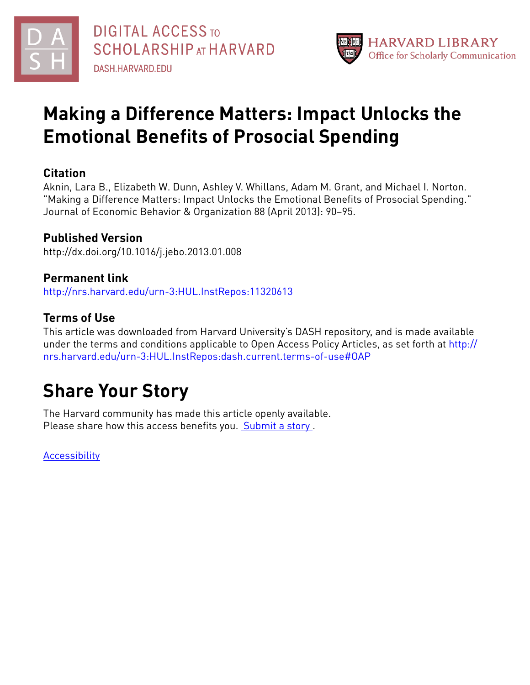



# **Making a Difference Matters: Impact Unlocks the Emotional Benefits of Prosocial Spending**

# **Citation**

Aknin, Lara B., Elizabeth W. Dunn, Ashley V. Whillans, Adam M. Grant, and Michael I. Norton. "Making a Difference Matters: Impact Unlocks the Emotional Benefits of Prosocial Spending." Journal of Economic Behavior & Organization 88 (April 2013): 90–95.

# **Published Version**

http://dx.doi.org/10.1016/j.jebo.2013.01.008

# **Permanent link**

<http://nrs.harvard.edu/urn-3:HUL.InstRepos:11320613>

# **Terms of Use**

This article was downloaded from Harvard University's DASH repository, and is made available under the terms and conditions applicable to Open Access Policy Articles, as set forth at [http://](http://nrs.harvard.edu/urn-3:HUL.InstRepos:dash.current.terms-of-use#OAP) [nrs.harvard.edu/urn-3:HUL.InstRepos:dash.current.terms-of-use#OAP](http://nrs.harvard.edu/urn-3:HUL.InstRepos:dash.current.terms-of-use#OAP)

# **Share Your Story**

The Harvard community has made this article openly available. Please share how this access benefits you. [Submit](http://osc.hul.harvard.edu/dash/open-access-feedback?handle=&title=Making%20a%20Difference%20Matters:%20Impact%20Unlocks%20the%20Emotional%20Benefits%20of%20Prosocial%20Spending&community=1/3345929&collection=1/3345930&owningCollection1/3345930&harvardAuthors=9c523b207e9a653ee5656b9ec49a1955&department) a story .

**[Accessibility](https://dash.harvard.edu/pages/accessibility)**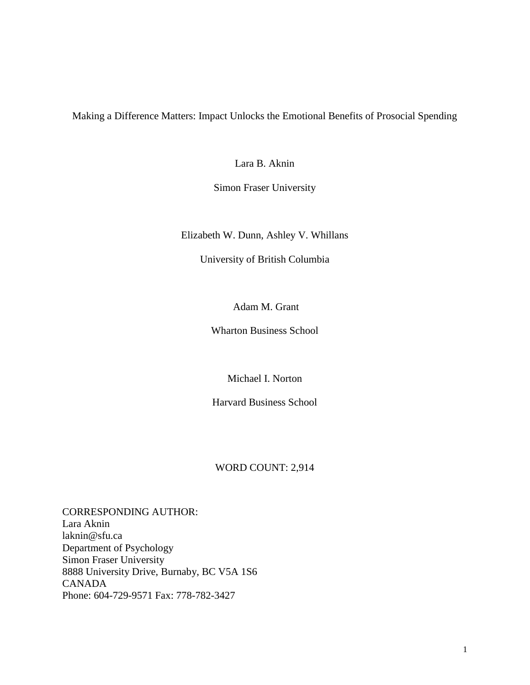Making a Difference Matters: Impact Unlocks the Emotional Benefits of Prosocial Spending

Lara B. Aknin

Simon Fraser University

Elizabeth W. Dunn, Ashley V. Whillans

University of British Columbia

Adam M. Grant

Wharton Business School

Michael I. Norton

Harvard Business School

# WORD COUNT: 2,914

CORRESPONDING AUTHOR: Lara Aknin laknin@sfu.ca Department of Psychology Simon Fraser University 8888 University Drive, Burnaby, BC V5A 1S6 CANADA Phone: 604-729-9571 Fax: 778-782-3427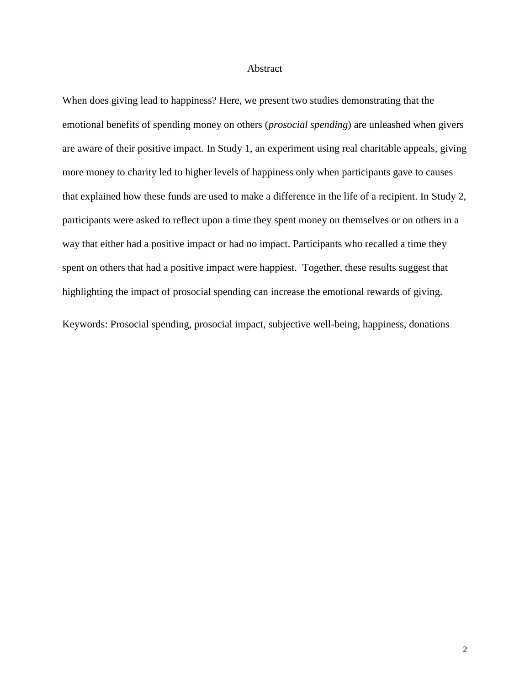#### Abstract

When does giving lead to happiness? Here, we present two studies demonstrating that the emotional benefits of spending money on others (*prosocial spending*) are unleashed when givers are aware of their positive impact. In Study 1, an experiment using real charitable appeals, giving more money to charity led to higher levels of happiness only when participants gave to causes that explained how these funds are used to make a difference in the life of a recipient. In Study 2, participants were asked to reflect upon a time they spent money on themselves or on others in a way that either had a positive impact or had no impact. Participants who recalled a time they spent on others that had a positive impact were happiest. Together, these results suggest that highlighting the impact of prosocial spending can increase the emotional rewards of giving.

Keywords: Prosocial spending, prosocial impact, subjective well-being, happiness, donations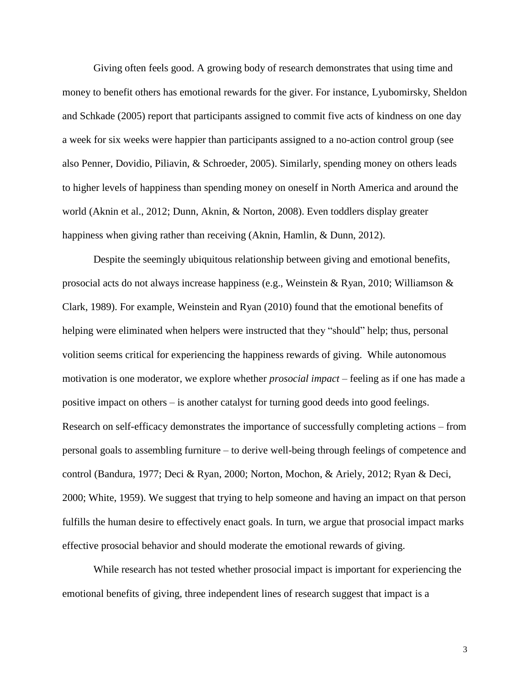Giving often feels good. A growing body of research demonstrates that using time and money to benefit others has emotional rewards for the giver. For instance, Lyubomirsky, Sheldon and Schkade (2005) report that participants assigned to commit five acts of kindness on one day a week for six weeks were happier than participants assigned to a no-action control group (see also Penner, Dovidio, Piliavin, & Schroeder, 2005). Similarly, spending money on others leads to higher levels of happiness than spending money on oneself in North America and around the world (Aknin et al., 2012; Dunn, Aknin, & Norton, 2008). Even toddlers display greater happiness when giving rather than receiving (Aknin, Hamlin, & Dunn, 2012).

Despite the seemingly ubiquitous relationship between giving and emotional benefits, prosocial acts do not always increase happiness (e.g., Weinstein & Ryan, 2010; Williamson & Clark, 1989). For example, Weinstein and Ryan (2010) found that the emotional benefits of helping were eliminated when helpers were instructed that they "should" help; thus, personal volition seems critical for experiencing the happiness rewards of giving. While autonomous motivation is one moderator, we explore whether *prosocial impact* – feeling as if one has made a positive impact on others – is another catalyst for turning good deeds into good feelings. Research on self-efficacy demonstrates the importance of successfully completing actions – from personal goals to assembling furniture – to derive well-being through feelings of competence and control (Bandura, 1977; Deci & Ryan, 2000; Norton, Mochon, & Ariely, 2012; Ryan & Deci, 2000; White, 1959). We suggest that trying to help someone and having an impact on that person fulfills the human desire to effectively enact goals. In turn, we argue that prosocial impact marks effective prosocial behavior and should moderate the emotional rewards of giving.

While research has not tested whether prosocial impact is important for experiencing the emotional benefits of giving, three independent lines of research suggest that impact is a

3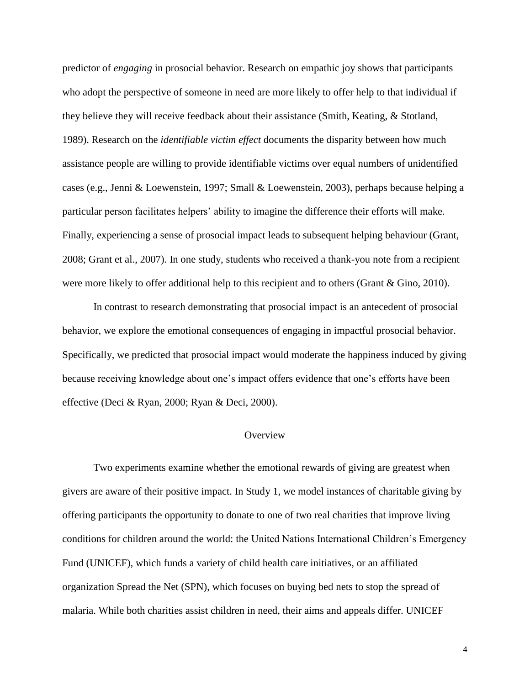predictor of *engaging* in prosocial behavior. Research on empathic joy shows that participants who adopt the perspective of someone in need are more likely to offer help to that individual if they believe they will receive feedback about their assistance (Smith, Keating, & Stotland, 1989). Research on the *identifiable victim effect* documents the disparity between how much assistance people are willing to provide identifiable victims over equal numbers of unidentified cases (e.g., Jenni & Loewenstein, 1997; Small & Loewenstein, 2003), perhaps because helping a particular person facilitates helpers' ability to imagine the difference their efforts will make. Finally, experiencing a sense of prosocial impact leads to subsequent helping behaviour (Grant, 2008; Grant et al., 2007). In one study, students who received a thank-you note from a recipient were more likely to offer additional help to this recipient and to others (Grant & Gino, 2010).

In contrast to research demonstrating that prosocial impact is an antecedent of prosocial behavior, we explore the emotional consequences of engaging in impactful prosocial behavior. Specifically, we predicted that prosocial impact would moderate the happiness induced by giving because receiving knowledge about one's impact offers evidence that one's efforts have been effective (Deci & Ryan, 2000; Ryan & Deci, 2000).

# **Overview**

Two experiments examine whether the emotional rewards of giving are greatest when givers are aware of their positive impact. In Study 1, we model instances of charitable giving by offering participants the opportunity to donate to one of two real charities that improve living conditions for children around the world: the United Nations International Children's Emergency Fund (UNICEF), which funds a variety of child health care initiatives, or an affiliated organization Spread the Net (SPN), which focuses on buying bed nets to stop the spread of malaria. While both charities assist children in need, their aims and appeals differ. UNICEF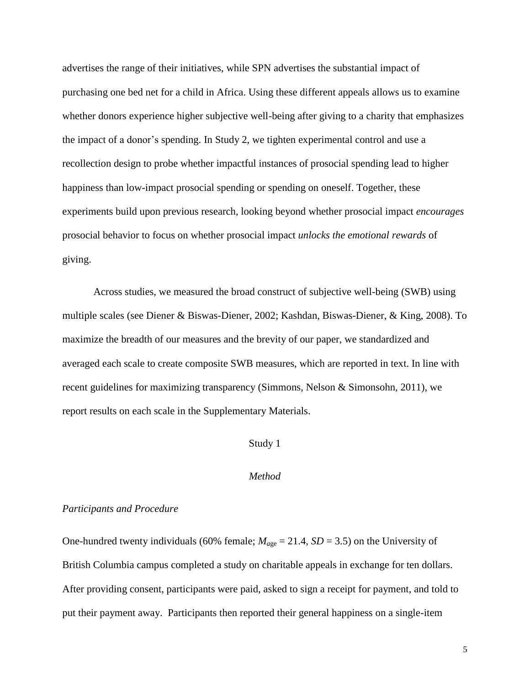advertises the range of their initiatives, while SPN advertises the substantial impact of purchasing one bed net for a child in Africa. Using these different appeals allows us to examine whether donors experience higher subjective well-being after giving to a charity that emphasizes the impact of a donor's spending. In Study 2, we tighten experimental control and use a recollection design to probe whether impactful instances of prosocial spending lead to higher happiness than low-impact prosocial spending or spending on oneself. Together, these experiments build upon previous research, looking beyond whether prosocial impact *encourages* prosocial behavior to focus on whether prosocial impact *unlocks the emotional rewards* of giving.

Across studies, we measured the broad construct of subjective well-being (SWB) using multiple scales (see Diener & Biswas-Diener, 2002; Kashdan, Biswas-Diener, & King, 2008). To maximize the breadth of our measures and the brevity of our paper, we standardized and averaged each scale to create composite SWB measures, which are reported in text. In line with recent guidelines for maximizing transparency (Simmons, Nelson & Simonsohn, 2011), we report results on each scale in the Supplementary Materials.

## Study 1

## *Method*

## *Participants and Procedure*

One-hundred twenty individuals (60% female;  $M_{age} = 21.4$ ,  $SD = 3.5$ ) on the University of British Columbia campus completed a study on charitable appeals in exchange for ten dollars. After providing consent, participants were paid, asked to sign a receipt for payment, and told to put their payment away. Participants then reported their general happiness on a single-item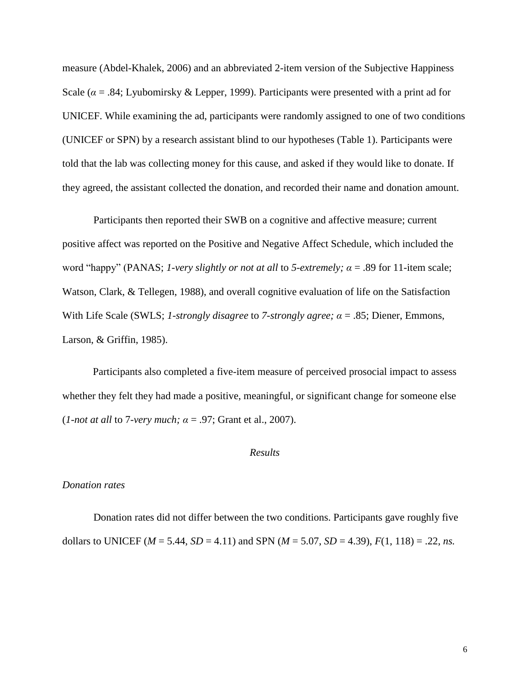measure (Abdel-Khalek, 2006) and an abbreviated 2-item version of the Subjective Happiness Scale ( $\alpha$  = .84; Lyubomirsky & Lepper, 1999). Participants were presented with a print ad for UNICEF. While examining the ad, participants were randomly assigned to one of two conditions (UNICEF or SPN) by a research assistant blind to our hypotheses (Table 1). Participants were told that the lab was collecting money for this cause, and asked if they would like to donate. If they agreed, the assistant collected the donation, and recorded their name and donation amount.

Participants then reported their SWB on a cognitive and affective measure; current positive affect was reported on the Positive and Negative Affect Schedule, which included the word "happy" (PANAS; *1-very slightly or not at all* to *5-extremely*;  $\alpha$  = .89 for 11-item scale; Watson, Clark, & Tellegen, 1988), and overall cognitive evaluation of life on the Satisfaction With Life Scale (SWLS; *1-strongly disagree* to *7-strongly agree; α* = .85; Diener, Emmons, Larson, & Griffin, 1985).

Participants also completed a five-item measure of perceived prosocial impact to assess whether they felt they had made a positive, meaningful, or significant change for someone else (*1-not at all* to 7*-very much; α* = .97; Grant et al., 2007).

# *Results*

#### *Donation rates*

Donation rates did not differ between the two conditions. Participants gave roughly five dollars to UNICEF ( $M = 5.44$ ,  $SD = 4.11$ ) and SPN ( $M = 5.07$ ,  $SD = 4.39$ ),  $F(1, 118) = .22$ , *ns.*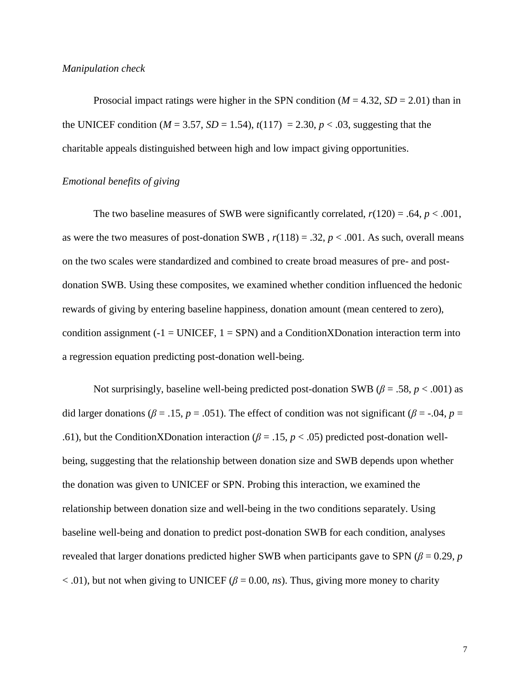## *Manipulation check*

Prosocial impact ratings were higher in the SPN condition  $(M = 4.32, SD = 2.01)$  than in the UNICEF condition ( $M = 3.57$ ,  $SD = 1.54$ ),  $t(117) = 2.30$ ,  $p < .03$ , suggesting that the charitable appeals distinguished between high and low impact giving opportunities.

# *Emotional benefits of giving*

The two baseline measures of SWB were significantly correlated,  $r(120) = .64$ ,  $p < .001$ , as were the two measures of post-donation SWB,  $r(118) = .32$ ,  $p < .001$ . As such, overall means on the two scales were standardized and combined to create broad measures of pre- and postdonation SWB. Using these composites, we examined whether condition influenced the hedonic rewards of giving by entering baseline happiness, donation amount (mean centered to zero), condition assignment ( $-1 = UNICEF$ ,  $1 = SPN$ ) and a ConditionXDonation interaction term into a regression equation predicting post-donation well-being.

Not surprisingly, baseline well-being predicted post-donation SWB ( $\beta$  = .58, *p* < .001) as did larger donations ( $\beta$  = .15,  $p$  = .051). The effect of condition was not significant ( $\beta$  = -.04,  $p$  = .61), but the ConditionXDonation interaction ( $\beta$  = .15,  $p$  < .05) predicted post-donation wellbeing, suggesting that the relationship between donation size and SWB depends upon whether the donation was given to UNICEF or SPN. Probing this interaction, we examined the relationship between donation size and well-being in the two conditions separately. Using baseline well-being and donation to predict post-donation SWB for each condition, analyses revealed that larger donations predicted higher SWB when participants gave to SPN ( $\beta$  = 0.29, *p*  $<$  0.01), but not when giving to UNICEF ( $\beta$  = 0.00, *ns*). Thus, giving more money to charity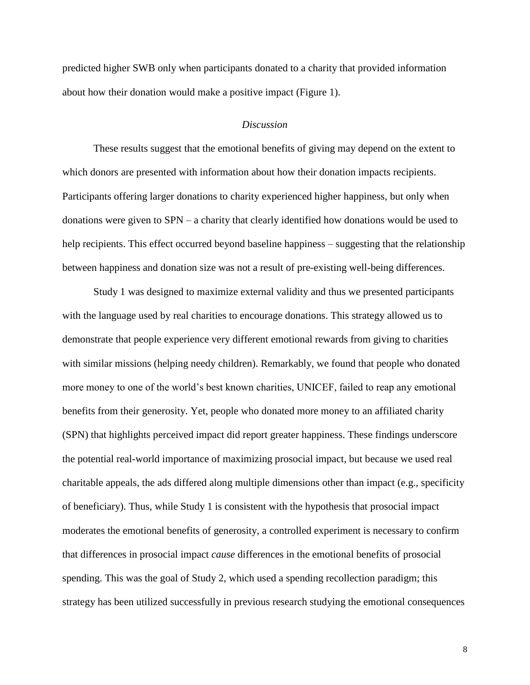predicted higher SWB only when participants donated to a charity that provided information about how their donation would make a positive impact (Figure 1).

## *Discussion*

These results suggest that the emotional benefits of giving may depend on the extent to which donors are presented with information about how their donation impacts recipients. Participants offering larger donations to charity experienced higher happiness, but only when donations were given to SPN – a charity that clearly identified how donations would be used to help recipients. This effect occurred beyond baseline happiness – suggesting that the relationship between happiness and donation size was not a result of pre-existing well-being differences.

Study 1 was designed to maximize external validity and thus we presented participants with the language used by real charities to encourage donations. This strategy allowed us to demonstrate that people experience very different emotional rewards from giving to charities with similar missions (helping needy children). Remarkably, we found that people who donated more money to one of the world's best known charities, UNICEF, failed to reap any emotional benefits from their generosity. Yet, people who donated more money to an affiliated charity (SPN) that highlights perceived impact did report greater happiness. These findings underscore the potential real-world importance of maximizing prosocial impact, but because we used real charitable appeals, the ads differed along multiple dimensions other than impact (e.g., specificity of beneficiary). Thus, while Study 1 is consistent with the hypothesis that prosocial impact moderates the emotional benefits of generosity, a controlled experiment is necessary to confirm that differences in prosocial impact *cause* differences in the emotional benefits of prosocial spending. This was the goal of Study 2, which used a spending recollection paradigm; this strategy has been utilized successfully in previous research studying the emotional consequences

8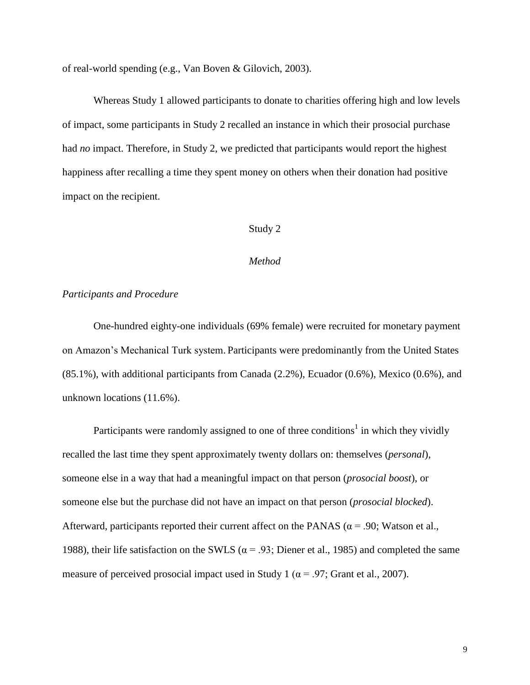of real-world spending (e.g., Van Boven & Gilovich, 2003).

Whereas Study 1 allowed participants to donate to charities offering high and low levels of impact, some participants in Study 2 recalled an instance in which their prosocial purchase had *no* impact. Therefore, in Study 2, we predicted that participants would report the highest happiness after recalling a time they spent money on others when their donation had positive impact on the recipient.

# Study 2

#### *Method*

## *Participants and Procedure*

One-hundred eighty-one individuals (69% female) were recruited for monetary payment on Amazon's Mechanical Turk system. Participants were predominantly from the United States (85.1%), with additional participants from Canada (2.2%), Ecuador (0.6%), Mexico (0.6%), and unknown locations (11.6%).

Participants were randomly assigned to one of three conditions<sup>1</sup> in which they vividly recalled the last time they spent approximately twenty dollars on: themselves (*personal*), someone else in a way that had a meaningful impact on that person (*prosocial boost*), or someone else but the purchase did not have an impact on that person (*prosocial blocked*). Afterward, participants reported their current affect on the PANAS ( $\alpha$  = .90; Watson et al., 1988), their life satisfaction on the SWLS ( $\alpha$  = .93; Diener et al., 1985) and completed the same measure of perceived prosocial impact used in Study 1 ( $\alpha$  = .97; Grant et al., 2007).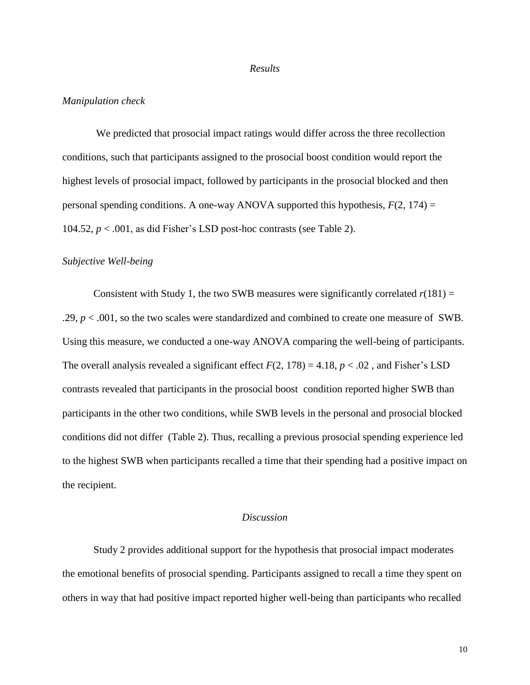#### *Results*

#### *Manipulation check*

We predicted that prosocial impact ratings would differ across the three recollection conditions, such that participants assigned to the prosocial boost condition would report the highest levels of prosocial impact, followed by participants in the prosocial blocked and then personal spending conditions. A one-way ANOVA supported this hypothesis,  $F(2, 174) =$ 104.52,  $p < .001$ , as did Fisher's LSD post-hoc contrasts (see Table 2).

#### *Subjective Well-being*

Consistent with Study 1, the two SWB measures were significantly correlated  $r(181) =$ .29, *p* < .001, so the two scales were standardized and combined to create one measure of SWB. Using this measure, we conducted a one-way ANOVA comparing the well-being of participants. The overall analysis revealed a significant effect  $F(2, 178) = 4.18$ ,  $p < .02$ , and Fisher's LSD contrasts revealed that participants in the prosocial boost condition reported higher SWB than participants in the other two conditions, while SWB levels in the personal and prosocial blocked conditions did not differ (Table 2). Thus, recalling a previous prosocial spending experience led to the highest SWB when participants recalled a time that their spending had a positive impact on the recipient.

## *Discussion*

Study 2 provides additional support for the hypothesis that prosocial impact moderates the emotional benefits of prosocial spending. Participants assigned to recall a time they spent on others in way that had positive impact reported higher well-being than participants who recalled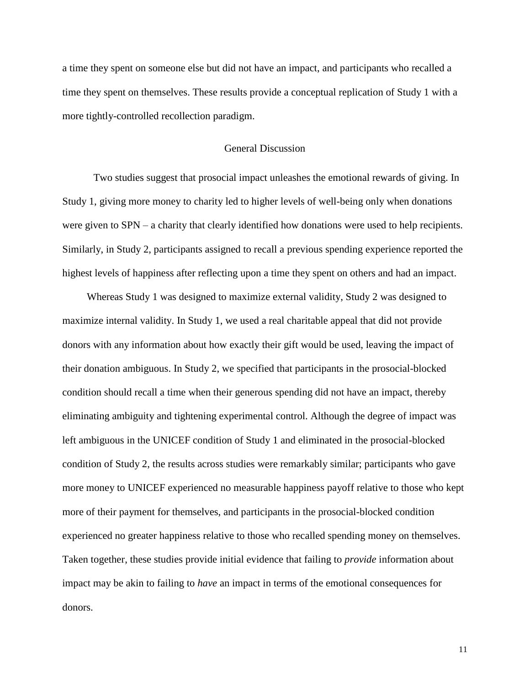a time they spent on someone else but did not have an impact, and participants who recalled a time they spent on themselves. These results provide a conceptual replication of Study 1 with a more tightly-controlled recollection paradigm.

# General Discussion

Two studies suggest that prosocial impact unleashes the emotional rewards of giving. In Study 1, giving more money to charity led to higher levels of well-being only when donations were given to SPN – a charity that clearly identified how donations were used to help recipients. Similarly, in Study 2, participants assigned to recall a previous spending experience reported the highest levels of happiness after reflecting upon a time they spent on others and had an impact.

Whereas Study 1 was designed to maximize external validity, Study 2 was designed to maximize internal validity. In Study 1, we used a real charitable appeal that did not provide donors with any information about how exactly their gift would be used, leaving the impact of their donation ambiguous. In Study 2, we specified that participants in the prosocial-blocked condition should recall a time when their generous spending did not have an impact, thereby eliminating ambiguity and tightening experimental control. Although the degree of impact was left ambiguous in the UNICEF condition of Study 1 and eliminated in the prosocial-blocked condition of Study 2, the results across studies were remarkably similar; participants who gave more money to UNICEF experienced no measurable happiness payoff relative to those who kept more of their payment for themselves, and participants in the prosocial-blocked condition experienced no greater happiness relative to those who recalled spending money on themselves. Taken together, these studies provide initial evidence that failing to *provide* information about impact may be akin to failing to *have* an impact in terms of the emotional consequences for donors.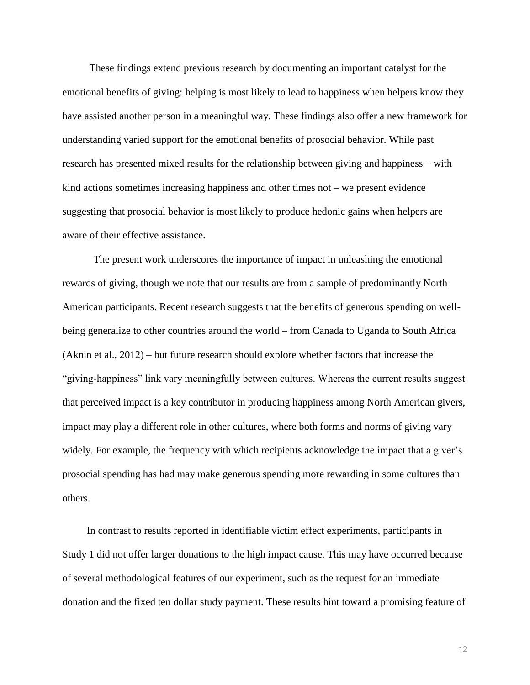These findings extend previous research by documenting an important catalyst for the emotional benefits of giving: helping is most likely to lead to happiness when helpers know they have assisted another person in a meaningful way. These findings also offer a new framework for understanding varied support for the emotional benefits of prosocial behavior. While past research has presented mixed results for the relationship between giving and happiness – with kind actions sometimes increasing happiness and other times not – we present evidence suggesting that prosocial behavior is most likely to produce hedonic gains when helpers are aware of their effective assistance.

The present work underscores the importance of impact in unleashing the emotional rewards of giving, though we note that our results are from a sample of predominantly North American participants. Recent research suggests that the benefits of generous spending on wellbeing generalize to other countries around the world – from Canada to Uganda to South Africa (Aknin et al., 2012) – but future research should explore whether factors that increase the ―giving-happiness‖ link vary meaningfully between cultures. Whereas the current results suggest that perceived impact is a key contributor in producing happiness among North American givers, impact may play a different role in other cultures, where both forms and norms of giving vary widely. For example, the frequency with which recipients acknowledge the impact that a giver's prosocial spending has had may make generous spending more rewarding in some cultures than others.

In contrast to results reported in identifiable victim effect experiments, participants in Study 1 did not offer larger donations to the high impact cause. This may have occurred because of several methodological features of our experiment, such as the request for an immediate donation and the fixed ten dollar study payment. These results hint toward a promising feature of

12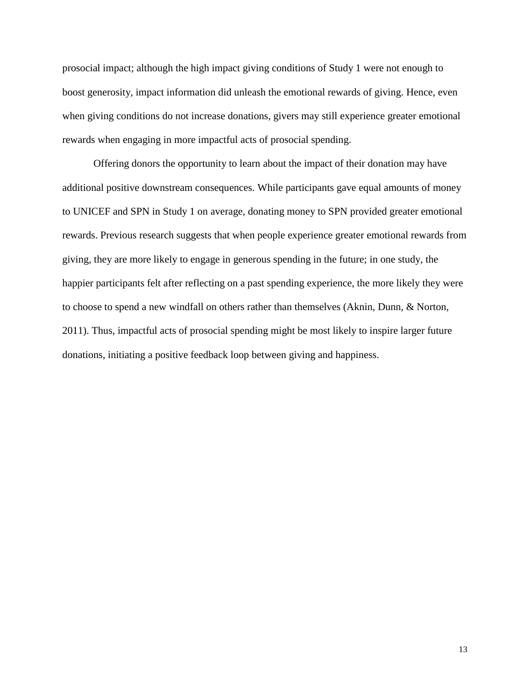prosocial impact; although the high impact giving conditions of Study 1 were not enough to boost generosity, impact information did unleash the emotional rewards of giving. Hence, even when giving conditions do not increase donations, givers may still experience greater emotional rewards when engaging in more impactful acts of prosocial spending.

Offering donors the opportunity to learn about the impact of their donation may have additional positive downstream consequences. While participants gave equal amounts of money to UNICEF and SPN in Study 1 on average, donating money to SPN provided greater emotional rewards. Previous research suggests that when people experience greater emotional rewards from giving, they are more likely to engage in generous spending in the future; in one study, the happier participants felt after reflecting on a past spending experience, the more likely they were to choose to spend a new windfall on others rather than themselves (Aknin, Dunn, & Norton, 2011). Thus, impactful acts of prosocial spending might be most likely to inspire larger future donations, initiating a positive feedback loop between giving and happiness.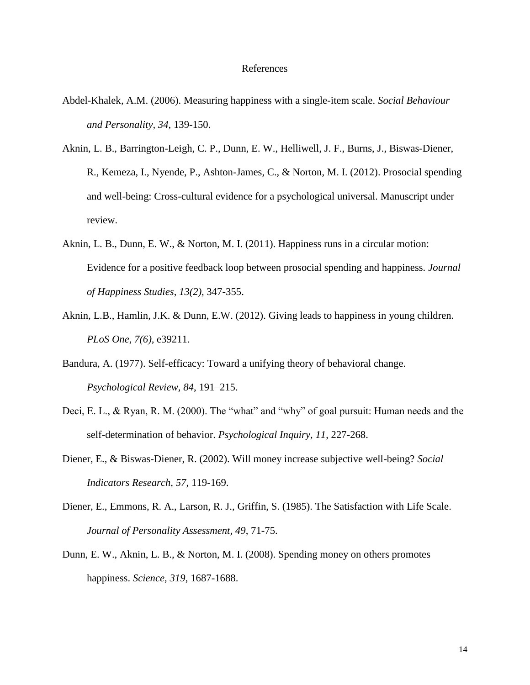#### References

- Abdel-Khalek, A.M. (2006). Measuring happiness with a single-item scale. *Social Behaviour and Personality, 34*, 139-150.
- Aknin, L. B., Barrington-Leigh, C. P., Dunn, E. W., Helliwell, J. F., Burns, J., Biswas-Diener, R., Kemeza, I., Nyende, P., Ashton-James, C., & Norton, M. I. (2012). Prosocial spending and well-being: Cross-cultural evidence for a psychological universal. Manuscript under review.
- Aknin, L. B., Dunn, E. W., & Norton, M. I. (2011). Happiness runs in a circular motion: Evidence for a positive feedback loop between prosocial spending and happiness. *Journal of Happiness Studies*, *13(2),* 347-355.
- Aknin, L.B., Hamlin, J.K. & Dunn, E.W. (2012). Giving leads to happiness in young children. *PLoS One*, *7(6),* e39211.
- Bandura, A. (1977). Self-efficacy: Toward a unifying theory of behavioral change. *Psychological Review, 84*, 191–215.
- Deci, E. L., & Ryan, R. M. (2000). The "what" and "why" of goal pursuit: Human needs and the self-determination of behavior. *Psychological Inquiry, 11*, 227-268.
- Diener, E., & Biswas-Diener, R. (2002). Will money increase subjective well-being? *Social Indicators Research, 57*, 119-169.
- Diener, E., Emmons, R. A., Larson, R. J., Griffin, S. (1985). The Satisfaction with Life Scale. *Journal of Personality Assessment, 49*, 71-75.
- Dunn, E. W., Aknin, L. B., & Norton, M. I. (2008). Spending money on others promotes happiness. *Science, 319*, 1687-1688.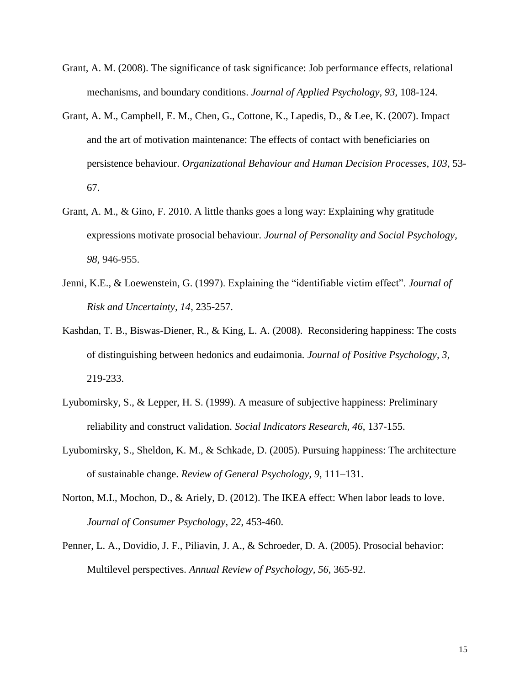- Grant, A. M. (2008). The significance of task significance: Job performance effects, relational mechanisms, and boundary conditions. *Journal of Applied Psychology, 93,* 108-124.
- Grant, A. M., Campbell, E. M., Chen, G., Cottone, K., Lapedis, D., & Lee, K. (2007). Impact and the art of motivation maintenance: The effects of contact with beneficiaries on persistence behaviour. *Organizational Behaviour and Human Decision Processes, 103*, 53- 67.
- Grant, A. M., & Gino, F. 2010. A little thanks goes a long way: Explaining why gratitude expressions motivate prosocial behaviour. *Journal of Personality and Social Psychology, 98,* 946-955.
- Jenni, K.E., & Loewenstein, G. (1997). Explaining the "identifiable victim effect". *Journal of Risk and Uncertainty, 14*, 235-257.
- Kashdan, T. B., Biswas-Diener, R., & King, L. A. (2008). Reconsidering happiness: The costs of distinguishing between hedonics and eudaimonia*. Journal of Positive Psychology, 3*, 219-233.
- Lyubomirsky, S., & Lepper, H. S. (1999). A measure of subjective happiness: Preliminary reliability and construct validation. *Social Indicators Research, 46*, 137-155.
- Lyubomirsky, S., Sheldon, K. M., & Schkade, D. (2005). Pursuing happiness: The architecture of sustainable change. *Review of General Psychology, 9*, 111–131.
- Norton, M.I., Mochon, D., & Ariely, D. (2012). The IKEA effect: When labor leads to love. *Journal of Consumer Psychology*, *22*, 453-460.
- Penner, L. A., Dovidio, J. F., Piliavin, J. A., & Schroeder, D. A. (2005). Prosocial behavior: Multilevel perspectives. *Annual Review of Psychology, 56*, 365-92.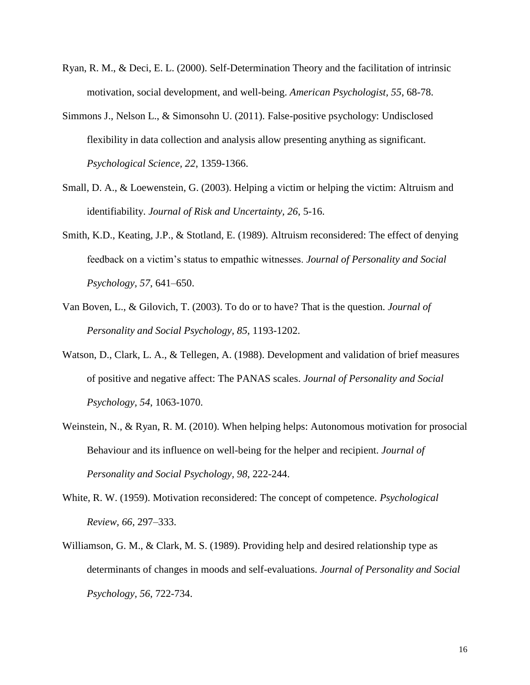- Ryan, R. M., & Deci, E. L. (2000). Self-Determination Theory and the facilitation of intrinsic motivation, social development, and well-being. *American Psychologist, 55*, 68-78.
- Simmons J., Nelson L., & Simonsohn U. (2011). False-positive psychology: Undisclosed flexibility in data collection and analysis allow presenting anything as significant. *Psychological Science, 22*, 1359-1366.
- Small, D. A., & Loewenstein, G. (2003). Helping a victim or helping the victim: Altruism and identifiability. *Journal of Risk and Uncertainty, 26*, 5-16.
- Smith, K.D., Keating, J.P., & Stotland, E. (1989). Altruism reconsidered: The effect of denying feedback on a victim's status to empathic witnesses. *Journal of Personality and Social Psychology, 57*, 641–650.
- Van Boven, L., & Gilovich, T. (2003). To do or to have? That is the question. *Journal of Personality and Social Psychology, 85*, 1193-1202.
- Watson, D., Clark, L. A., & Tellegen, A. (1988). Development and validation of brief measures of positive and negative affect: The PANAS scales. *Journal of Personality and Social Psychology, 54*, 1063-1070.
- Weinstein, N., & Ryan, R. M. (2010). When helping helps: Autonomous motivation for prosocial Behaviour and its influence on well-being for the helper and recipient. *Journal of Personality and Social Psychology, 98*, 222-244.
- White, R. W. (1959). Motivation reconsidered: The concept of competence. *Psychological Review, 66,* 297–333.
- Williamson, G. M., & Clark, M. S. (1989). Providing help and desired relationship type as determinants of changes in moods and self-evaluations. *Journal of Personality and Social Psychology, 56*, 722-734.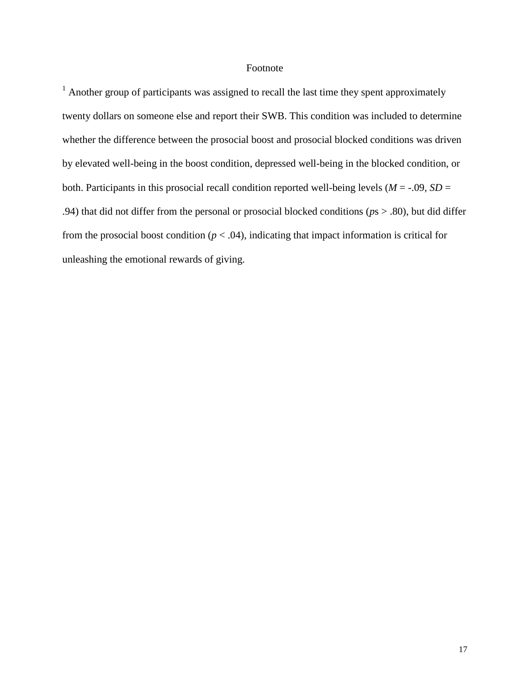## Footnote

 $1$  Another group of participants was assigned to recall the last time they spent approximately twenty dollars on someone else and report their SWB. This condition was included to determine whether the difference between the prosocial boost and prosocial blocked conditions was driven by elevated well-being in the boost condition, depressed well-being in the blocked condition, or both. Participants in this prosocial recall condition reported well-being levels ( $M = -0.09$ ,  $SD =$ .94) that did not differ from the personal or prosocial blocked conditions (*p*s > .80), but did differ from the prosocial boost condition ( $p < .04$ ), indicating that impact information is critical for unleashing the emotional rewards of giving.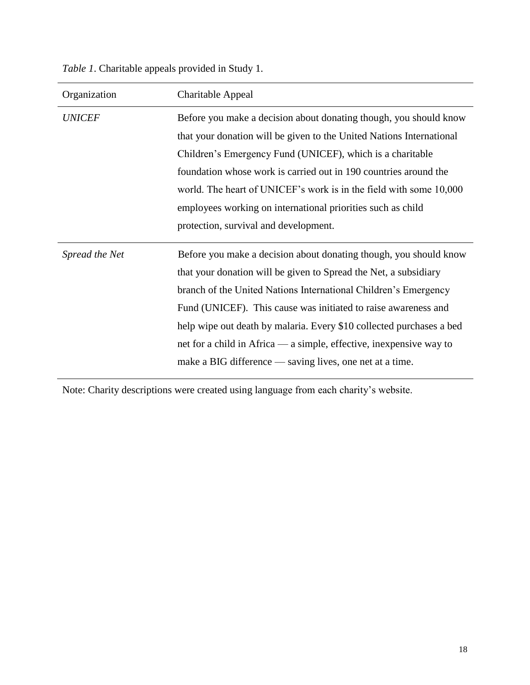*Table 1*. Charitable appeals provided in Study 1.

| Organization   | Charitable Appeal                                                                                                                                                                                                                                                                                                                                                                                                                                                                     |
|----------------|---------------------------------------------------------------------------------------------------------------------------------------------------------------------------------------------------------------------------------------------------------------------------------------------------------------------------------------------------------------------------------------------------------------------------------------------------------------------------------------|
| <b>UNICEF</b>  | Before you make a decision about donating though, you should know<br>that your donation will be given to the United Nations International<br>Children's Emergency Fund (UNICEF), which is a charitable<br>foundation whose work is carried out in 190 countries around the<br>world. The heart of UNICEF's work is in the field with some 10,000<br>employees working on international priorities such as child<br>protection, survival and development.                              |
| Spread the Net | Before you make a decision about donating though, you should know<br>that your donation will be given to Spread the Net, a subsidiary<br>branch of the United Nations International Children's Emergency<br>Fund (UNICEF). This cause was initiated to raise awareness and<br>help wipe out death by malaria. Every \$10 collected purchases a bed<br>net for a child in Africa — a simple, effective, inexpensive way to<br>make a BIG difference — saving lives, one net at a time. |

Note: Charity descriptions were created using language from each charity's website.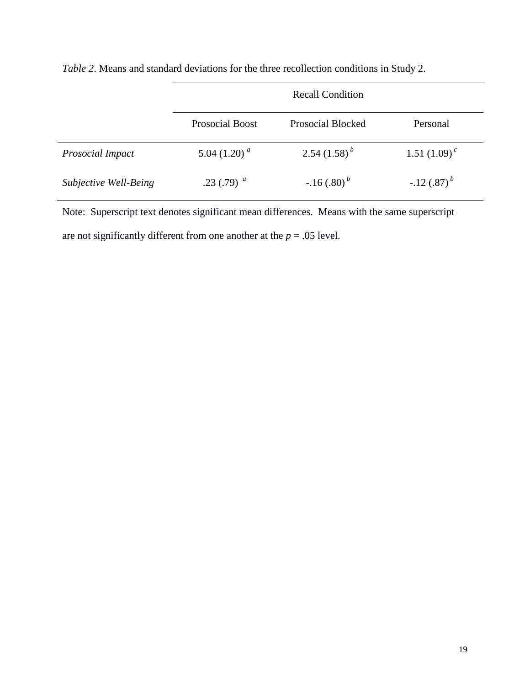|                         | <b>Recall Condition</b> |                          |                          |  |
|-------------------------|-------------------------|--------------------------|--------------------------|--|
|                         | <b>Prosocial Boost</b>  | <b>Prosocial Blocked</b> | Personal                 |  |
| <b>Prosocial Impact</b> | 5.04 $(1.20)^a$         | $2.54(1.58)^{b}$         | 1.51 $(1.09)^c$          |  |
| Subjective Well-Being   | .23 (.79) $^a$          | $-.16(.80)^{b}$          | $-.12(.87)$ <sup>b</sup> |  |

*Table 2*. Means and standard deviations for the three recollection conditions in Study 2.

Note: Superscript text denotes significant mean differences. Means with the same superscript are not significantly different from one another at the  $p = .05$  level.